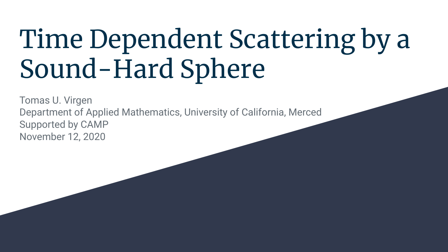# Time Dependent Scattering by a Sound-Hard Sphere

Tomas U. Virgen Department of Applied Mathematics, University of California, Merced Supported by CAMP November 12, 2020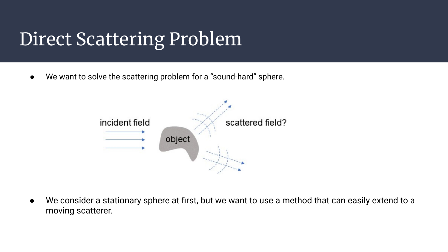# Direct Scattering Problem

● We want to solve the scattering problem for a "sound-hard" sphere.



● We consider a stationary sphere at first, but we want to use a method that can easily extend to a moving scatterer.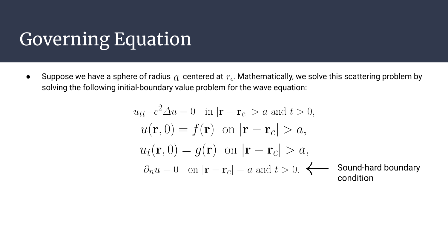### Governing Equation

• Suppose we have a sphere of radius  $q_i$  centered at  $r_c$ . Mathematically, we solve this scattering problem by solving the following initial-boundary value problem for the wave equation:

$$
u_{tt} - c^2 \Delta u = 0 \quad \text{in } |\mathbf{r} - \mathbf{r}_c| > a \text{ and } t > 0,
$$
  
\n
$$
u(\mathbf{r}, 0) = f(\mathbf{r}) \quad \text{on } |\mathbf{r} - \mathbf{r}_c| > a,
$$
  
\n
$$
u_t(\mathbf{r}, 0) = g(\mathbf{r}) \quad \text{on } |\mathbf{r} - \mathbf{r}_c| > a,
$$
  
\n
$$
\partial_n u = 0 \quad \text{on } |\mathbf{r} - \mathbf{r}_c| = a \text{ and } t > 0.
$$
  $\longleftarrow$  Sound-hard boundary condition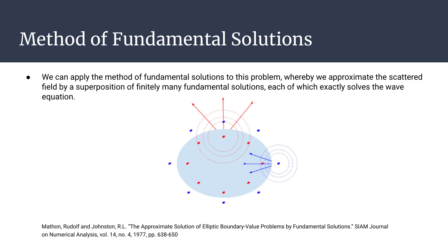# Method of Fundamental Solutions

● We can apply the method of fundamental solutions to this problem, whereby we approximate the scattered field by a superposition of finitely many fundamental solutions, each of which exactly solves the wave equation.



Mathon, Rudolf and Johnston, R.L. "The Approximate Solution of Elliptic Boundary-Value Problems by Fundamental Solutions." SIAM Journal on Numerical Analysis, vol. 14, no. 4, 1977, pp. 638-650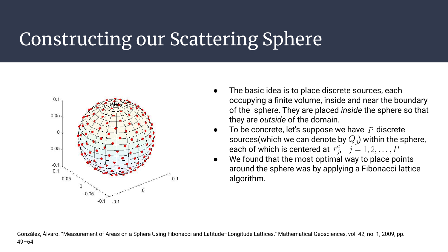# Constructing our Scattering Sphere



- The basic idea is to place discrete sources, each occupying a finite volume, inside and near the boundary of the sphere. They are placed *inside* the sphere so that they are *outside* of the domain.
- To be concrete, let's suppose we have  $P$  discrete sources(which we can denote by  $Q_i$ ) within the sphere, each of which is centered at  $r_i^c$ ,  $j = 1, 2, ..., P$
- We found that the most optimal way to place points around the sphere was by applying a Fibonacci lattice algorithm.

González, Álvaro. "Measurement of Areas on a Sphere Using Fibonacci and Latitude–Longitude Lattices." Mathematical Geosciences, vol. 42, no. 1, 2009, pp.  $49 - 64$ .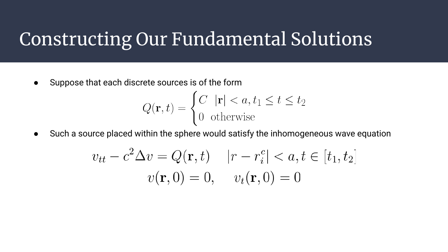#### Constructing Our Fundamental Solutions

● Suppose that each discrete sources is of the form

$$
Q(\mathbf{r}, t) = \begin{cases} C & |\mathbf{r}| < a, t_1 \le t \le t_2 \\ 0 & \text{otherwise} \end{cases}
$$

● Such a source placed within the sphere would satisfy the inhomogeneous wave equation

$$
v_{tt} - c^2 \Delta v = Q(\mathbf{r}, t) \quad |r - r_i^c| < a, t \in [t_1, t_2]
$$
\n
$$
v(\mathbf{r}, 0) = 0, \quad v_t(\mathbf{r}, 0) = 0
$$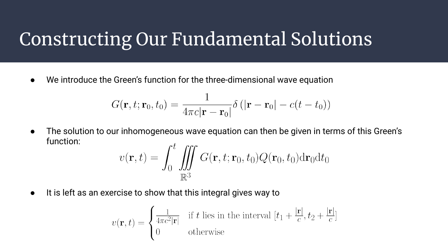#### Constructing Our Fundamental Solutions

We introduce the Green's function for the three-dimensional wave equation

$$
G(\mathbf{r},t;\mathbf{r}_0,t_0)=\frac{1}{4\pi c|\mathbf{r}-\mathbf{r}_0|}\delta\left(|\mathbf{r}-\mathbf{r}_0|-c(t-t_0)\right)
$$

● The solution to our inhomogeneous wave equation can then be given in terms of this Green's function:

$$
v(\mathbf{r},t) = \iint_0^t \iiint_{\mathbb{R}^3} G(\mathbf{r},t;\mathbf{r}_0,t_0) Q(\mathbf{r}_0,t_0) d\mathbf{r}_0 dt_0
$$

● It is left as an exercise to show that this integral gives way to

$$
v(\mathbf{r}, t) = \begin{cases} \frac{1}{4\pi c^2 |\mathbf{r}|} & \text{if } t \text{ lies in the interval } [t_1 + \frac{|\mathbf{r}|}{c}, t_2 + \frac{|\mathbf{r}|}{c}]\\ 0 & \text{otherwise} \end{cases}
$$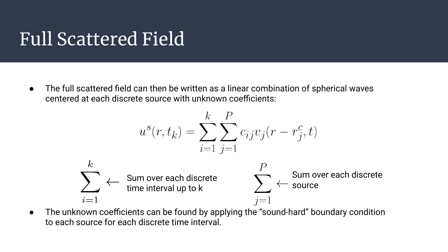### Full Scattered Field

The full scattered field can then be written as a linear combination of spherical waves centered at each discrete source with unknown coefficients:

$$
u^{s}(r, t_{k}) = \sum_{i=1}^{k} \sum_{j=1}^{P} c_{ij} v_{j}(r - r_{j}^{c}, t)
$$
  

$$
\sum_{i=1}^{k} \leftarrow \text{Sum over each discrete}
$$
  

$$
\sum_{i=1}^{P} \leftarrow \text{Sum over each discrete}
$$
  

$$
\sum_{j=1}^{P} \leftarrow \text{Sum over each discrete}
$$

● The unknown coefficients can be found by applying the "sound-hard" boundary condition to each source for each discrete time interval.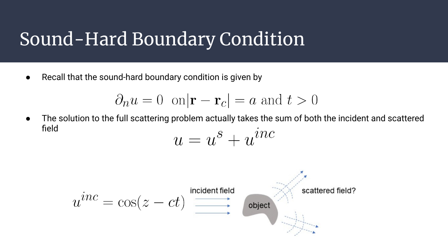#### Sound-Hard Boundary Condition

● Recall that the sound-hard boundary condition is given by

$$
\partial_n u = 0 \quad \text{on} |\mathbf{r} - \mathbf{r}_c| = a \text{ and } t > 0
$$

● The solution to the full scattering problem actually takes the sum of both the incident and scattered field

$$
u = u^s + u^{\imath nc}
$$

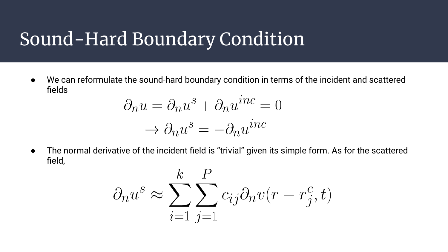#### Sound-Hard Boundary Condition

● We can reformulate the sound-hard boundary condition in terms of the incident and scattered fields

$$
\partial_n u = \partial_n u^s + \partial_n u^{inc} = 0
$$

$$
\rightarrow \partial_n u^s = -\partial_n u^{inc}
$$

● The normal derivative of the incident field is "trivial" given its simple form. As for the scattered field,

$$
\partial_n u^s \approx \sum_{i=1}^k \sum_{j=1}^P c_{ij} \partial_n v(r - r_j^c, t)
$$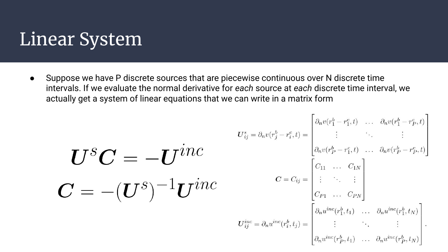#### Linear System

Suppose we have P discrete sources that are piecewise continuous over N discrete time intervals. If we evaluate the normal derivative for *each* source at *each* discrete time interval, we actually get a system of linear equations that we can write in a matrix form

$$
\boldsymbol{U}^{\boldsymbol{S}}\boldsymbol{C}=-\boldsymbol{U}^{i n c}\\ \boldsymbol{C}=\begin{bmatrix} \boldsymbol{U}^{i_{1}i_{2}i_{3}j_{4}} \\ \boldsymbol{U}^{i_{2}i_{3}j_{4}}\end{bmatrix}^{U^{s}_{i_{3}j_{4}}= \partial_{n}v(r_{1}^{b}-r_{1}^{c},t)}=\begin{bmatrix} \partial_{n}v(r_{1}^{b}-r_{1}^{c},t) & \dots & \partial_{n}v(r_{1}^{b}-r_{1}^{c},t) \\ \vdots & \ddots & \vdots \\ \partial_{n}v(r_{p}^{b}-r_{1}^{c},t) & \dots & \partial_{n}v(r_{p}^{b}-r_{p}^{c},t) \end{bmatrix}^{U^{s}_{i_{1}i_{3}j_{4}}= \partial_{n}u^{i_{1}i_{2}}(r_{1}^{b},t_{1})}\boldsymbol{U}^{i n c}_{i_{1}i_{3}j_{4}}=\begin{bmatrix} \partial_{n}u^{i_{1}i_{2}}(r_{1}^{b},t_{1}) & \dots & \partial_{n}u^{i_{n}i_{2}}(r_{1}^{b},t_{N}) \\ \vdots & \ddots & \vdots \\ \partial_{n}u^{i_{n}i_{2}}(r_{p}^{b},t_{1}) & \dots & \partial_{n}u^{i_{n}i_{2}}(r_{p}^{b},t_{N}) \end{bmatrix}^{U^{s}_{i_{1}i_{3}j_{4}}= \partial_{n}u^{i_{1}i_{2}}(r_{1}^{b},t_{1})}\cdots\boldsymbol{U}^{i_{n}i_{n}i_{n}}(r_{p}^{b},t_{N})}.
$$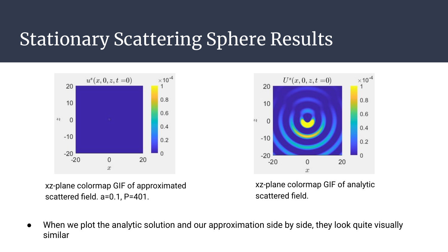# Stationary Scattering Sphere Results



xz-plane colormap GIF of approximated scattered field. a=0.1, P=401.



xz-plane colormap GIF of analytic scattered field.

● When we plot the analytic solution and our approximation side by side, they look quite visually similar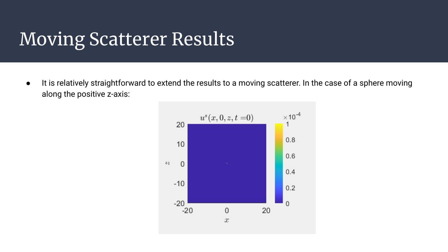# Moving Scatterer Results

● It is relatively straightforward to extend the results to a moving scatterer. In the case of a sphere moving along the positive z-axis:

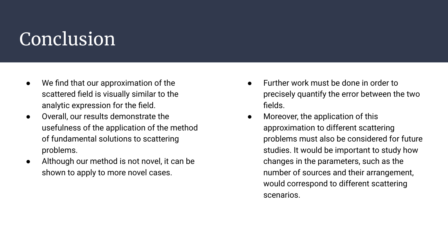# **Conclusion**

- We find that our approximation of the scattered field is visually similar to the analytic expression for the field.
- Overall, our results demonstrate the usefulness of the application of the method of fundamental solutions to scattering problems.
- Although our method is not novel, it can be shown to apply to more novel cases.
- Further work must be done in order to precisely quantify the error between the two fields.
- Moreover, the application of this approximation to different scattering problems must also be considered for future studies. It would be important to study how changes in the parameters, such as the number of sources and their arrangement, would correspond to different scattering scenarios.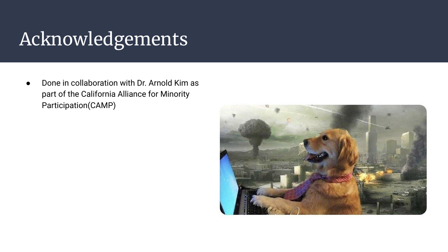# Acknowledgements

Done in collaboration with Dr. Arnold Kim as part of the California Alliance for Minority Participation(CAMP)